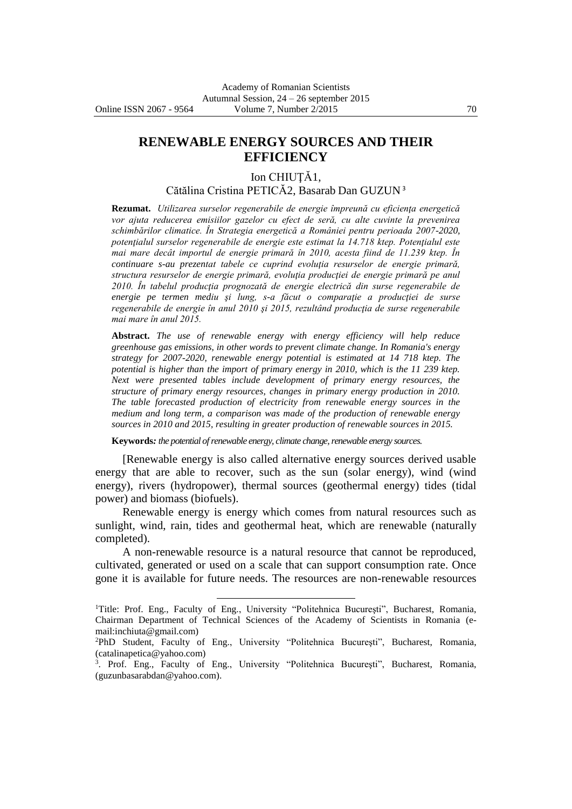## **RENEWABLE ENERGY SOURCES AND THEIR EFFICIENCY**

## Ion CHIUŢĂ1,

## Cătălina Cristina PETICĂ2, Basarab Dan GUZUN <sup>3</sup>

**Rezumat.** *Utilizarea surselor regenerabile de energie împreună cu eficienţa energetică vor ajuta reducerea emisiilor gazelor cu efect de seră, cu alte cuvinte la prevenirea schimbărilor climatice. În Strategia energetică a României pentru perioada 2007-2020, potenţialul surselor regenerabile de energie este estimat la 14.718 ktep. Potenţialul este mai mare decât importul de energie primară în 2010, acesta fiind de 11.239 ktep. În continuare s-au prezentat tabele ce cuprind evoluţia resurselor de energie primară, structura resurselor de energie primară, evoluţia producţiei de energie primară pe anul 2010. În tabelul producţia prognozată de energie electrică din surse regenerabile de energie pe termen mediu şi lung, s-a făcut o comparaţie a producţiei de surse regenerabile de energie în anul 2010 şi 2015, rezultând producţia de surse regenerabile mai mare în anul 2015.*

**Abstract.** *The use of renewable energy with energy efficiency will help reduce greenhouse gas emissions, in other words to prevent climate change. In Romania's energy strategy for 2007-2020, renewable energy potential is estimated at 14 718 ktep. The potential is higher than the import of primary energy in 2010, which is the 11 239 ktep. Next were presented tables include development of primary energy resources, the structure of primary energy resources, changes in primary energy production in 2010. The table forecasted production of electricity from renewable energy sources in the medium and long term, a comparison was made of the production of renewable energy sources in 2010 and 2015, resulting in greater production of renewable sources in 2015.*

**Keywords***: the potential of renewable energy, climate change, renewable energy sources.*

[Renewable energy is also called alternative energy sources derived usable energy that are able to recover, such as the sun (solar energy), wind (wind energy), rivers (hydropower), thermal sources (geothermal energy) tides (tidal power) and biomass (biofuels).

Renewable energy is energy which comes from natural resources such as sunlight, wind, rain, tides and geothermal heat, which are renewable (naturally completed).

A non-renewable resource is a natural resource that cannot be reproduced, cultivated, generated or used on a scale that can support consumption rate. Once gone it is available for future needs. The resources are non-renewable resources

 $\overline{a}$ 

<sup>&</sup>lt;sup>1</sup>Title: Prof. Eng., Faculty of Eng., University "Politehnica București", Bucharest, Romania, Chairman Department of Technical Sciences of the Academy of Scientists in Romania (email:inchiuta@gmail.com)

<sup>2</sup>PhD Student, Faculty of Eng., University "Politehnica Bucureşti", Bucharest, Romania, (catalinapetica@yahoo.com)

<sup>&</sup>lt;sup>3</sup>. Prof. Eng., Faculty of Eng., University "Politehnica București", Bucharest, Romania, (guzunbasarabdan@yahoo.com).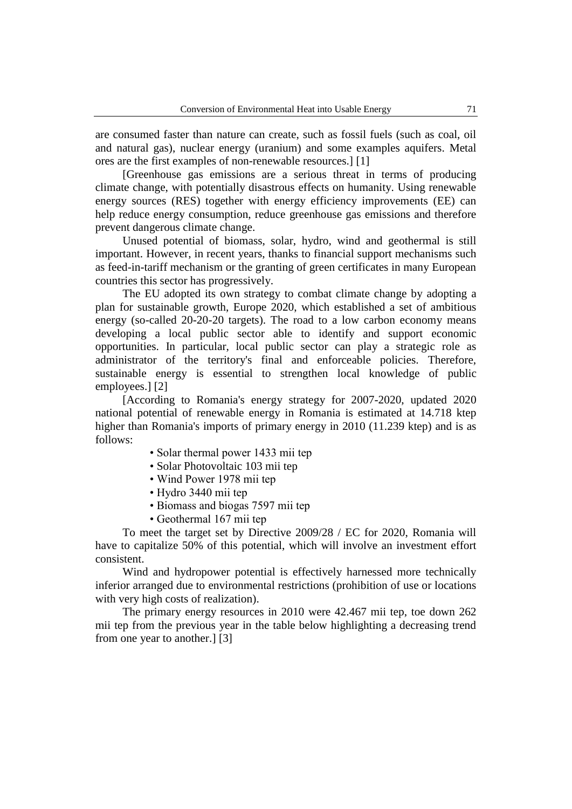are consumed faster than nature can create, such as fossil fuels (such as coal, oil and natural gas), nuclear energy (uranium) and some examples aquifers. Metal ores are the first examples of non-renewable resources.] [1]

[Greenhouse gas emissions are a serious threat in terms of producing climate change, with potentially disastrous effects on humanity. Using renewable energy sources (RES) together with energy efficiency improvements (EE) can help reduce energy consumption, reduce greenhouse gas emissions and therefore prevent dangerous climate change.

Unused potential of biomass, solar, hydro, wind and geothermal is still important. However, in recent years, thanks to financial support mechanisms such as feed-in-tariff mechanism or the granting of green certificates in many European countries this sector has progressively.

The EU adopted its own strategy to combat climate change by adopting a plan for sustainable growth, Europe 2020, which established a set of ambitious energy (so-called 20-20-20 targets). The road to a low carbon economy means developing a local public sector able to identify and support economic opportunities. In particular, local public sector can play a strategic role as administrator of the territory's final and enforceable policies. Therefore, sustainable energy is essential to strengthen local knowledge of public employees.] [2]

[According to Romania's energy strategy for 2007-2020, updated 2020 national potential of renewable energy in Romania is estimated at 14.718 ktep higher than Romania's imports of primary energy in 2010 (11.239 ktep) and is as follows:

- Solar thermal power 1433 mii tep
- Solar Photovoltaic 103 mii tep
- Wind Power 1978 mii tep
- Hydro 3440 mii tep
- Biomass and biogas 7597 mii tep
- Geothermal 167 mii tep

To meet the target set by Directive 2009/28 / EC for 2020, Romania will have to capitalize 50% of this potential, which will involve an investment effort consistent.

Wind and hydropower potential is effectively harnessed more technically inferior arranged due to environmental restrictions (prohibition of use or locations with very high costs of realization).

The primary energy resources in 2010 were 42.467 mii tep, toe down 262 mii tep from the previous year in the table below highlighting a decreasing trend from one year to another.] [3]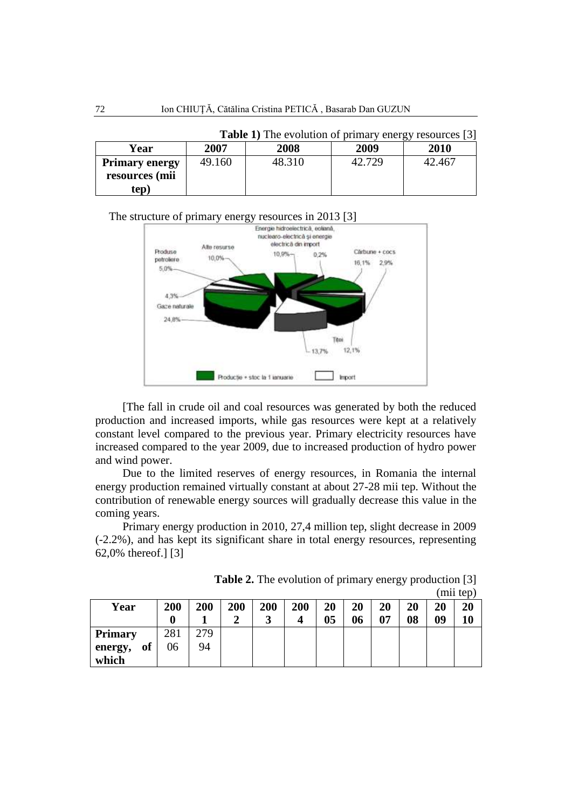| <b>Table 1)</b> The evolution of primary energy resources [3] |        |        |        |        |  |  |  |  |  |  |
|---------------------------------------------------------------|--------|--------|--------|--------|--|--|--|--|--|--|
| Year                                                          | 2007   | 2008   | 2009   | 2010   |  |  |  |  |  |  |
| <b>Primary energy</b><br>resources (mii<br>tep)               | 49.160 | 48.310 | 42.729 | 42.467 |  |  |  |  |  |  |

# The structure of primary energy resources in 2013 [3]<br>
Forge have structure column



[The fall in crude oil and coal resources was generated by both the reduced production and increased imports, while gas resources were kept at a relatively constant level compared to the previous year. Primary electricity resources have increased compared to the year 2009, due to increased production of hydro power and wind power.

Due to the limited reserves of energy resources, in Romania the internal energy production remained virtually constant at about 27-28 mii tep. Without the contribution of renewable energy sources will gradually decrease this value in the coming years.

Primary energy production in 2010, 27,4 million tep, slight decrease in 2009 (-2.2%), and has kept its significant share in total energy resources, representing 62,0% thereof.] [3]

|                |     |     |     |     |     |                |    |    |    |    | $\mu$ . The $\mu$ |
|----------------|-----|-----|-----|-----|-----|----------------|----|----|----|----|-------------------|
| Year           | 200 | 200 | 200 | 200 | 200 | 20             | 20 | 20 | 20 | 20 | 20                |
|                |     |     |     |     | Δ   | 0 <sub>5</sub> | 06 | 07 | 08 | 09 |                   |
| <b>Primary</b> | 281 | 279 |     |     |     |                |    |    |    |    |                   |
| of<br>energy,  | 06  | 94  |     |     |     |                |    |    |    |    |                   |
| which          |     |     |     |     |     |                |    |    |    |    |                   |

| <b>Table 2.</b> The evolution of primary energy production [3] |           |
|----------------------------------------------------------------|-----------|
|                                                                | (min tan) |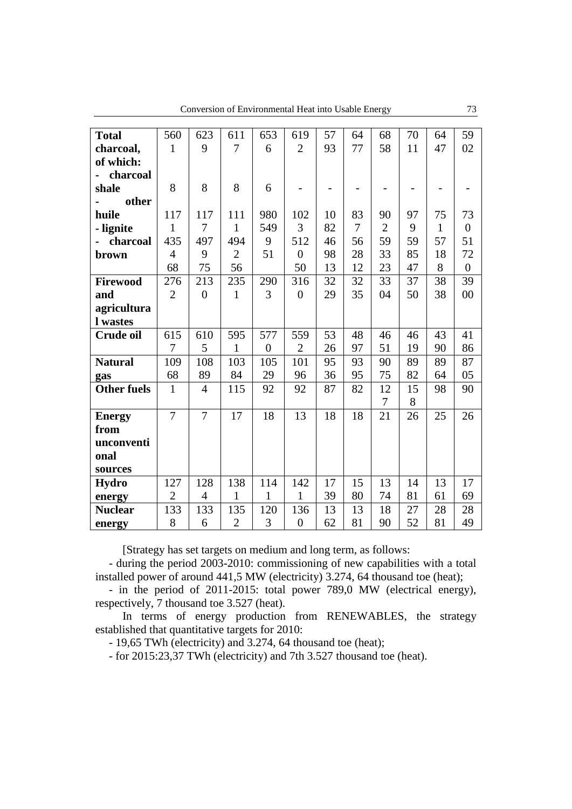| Conversion of Environmental Heat into Usable Energy |  |
|-----------------------------------------------------|--|
|-----------------------------------------------------|--|

| <b>Total</b>       | 560            | 623            | 611            | 653            | 619              | 57 | 64             | 68             | 70 | 64           | 59               |
|--------------------|----------------|----------------|----------------|----------------|------------------|----|----------------|----------------|----|--------------|------------------|
|                    |                |                |                |                |                  |    |                |                |    |              |                  |
| charcoal,          | $\mathbf{1}$   | 9              | 7              | 6              | $\overline{2}$   | 93 | 77             | 58             | 11 | 47           | 02               |
| of which:          |                |                |                |                |                  |    |                |                |    |              |                  |
| charcoal           |                |                |                |                |                  |    |                |                |    |              |                  |
| shale              | 8              | 8              | 8              | 6              |                  |    |                |                |    |              |                  |
| other              |                |                |                |                |                  |    |                |                |    |              |                  |
| huile              | 117            | 117            | 111            | 980            | 102              | 10 | 83             | 90             | 97 | 75           | 73               |
| - lignite          | $\mathbf{1}$   | 7              | 1              | 549            | 3                | 82 | $\overline{7}$ | $\overline{2}$ | 9  | $\mathbf{1}$ | $\boldsymbol{0}$ |
| charcoal           | 435            | 497            | 494            | 9              | 512              | 46 | 56             | 59             | 59 | 57           | 51               |
| brown              | $\overline{4}$ | 9              | $\overline{2}$ | 51             | $\overline{0}$   | 98 | 28             | 33             | 85 | 18           | 72               |
|                    | 68             | 75             | 56             |                | 50               | 13 | 12             | 23             | 47 | 8            | $\boldsymbol{0}$ |
| <b>Firewood</b>    | 276            | 213            | 235            | 290            | 316              | 32 | 32             | 33             | 37 | 38           | 39               |
| and                | $\overline{2}$ | $\overline{0}$ | $\mathbf{1}$   | 3              | $\boldsymbol{0}$ | 29 | 35             | 04             | 50 | 38           | $00\,$           |
| agricultura        |                |                |                |                |                  |    |                |                |    |              |                  |
| <b>l</b> wastes    |                |                |                |                |                  |    |                |                |    |              |                  |
| <b>Crude oil</b>   | 615            | 610            | 595            | 577            | 559              | 53 | 48             | 46             | 46 | 43           | 41               |
|                    | 7              | 5              | 1              | $\overline{0}$ | $\overline{2}$   | 26 | 97             | 51             | 19 | 90           | 86               |
| <b>Natural</b>     | 109            | 108            | 103            | 105            | 101              | 95 | 93             | 90             | 89 | 89           | 87               |
| gas                | 68             | 89             | 84             | 29             | 96               | 36 | 95             | 75             | 82 | 64           | 05               |
| <b>Other fuels</b> | $\mathbf{1}$   | $\overline{4}$ | 115            | 92             | 92               | 87 | 82             | 12             | 15 | 98           | 90               |
|                    |                |                |                |                |                  |    |                | 7              | 8  |              |                  |
| <b>Energy</b>      | $\overline{7}$ | $\overline{7}$ | 17             | 18             | 13               | 18 | 18             | 21             | 26 | 25           | 26               |
| from               |                |                |                |                |                  |    |                |                |    |              |                  |
| unconventi         |                |                |                |                |                  |    |                |                |    |              |                  |
| onal               |                |                |                |                |                  |    |                |                |    |              |                  |
| sources            |                |                |                |                |                  |    |                |                |    |              |                  |
| <b>Hydro</b>       | 127            | 128            | 138            | 114            | 142              | 17 | 15             | 13             | 14 | 13           | 17               |
| energy             | $\overline{2}$ | $\overline{4}$ | 1              | 1              | $\mathbf{1}$     | 39 | 80             | 74             | 81 | 61           | 69               |
| <b>Nuclear</b>     | 133            | 133            | 135            | 120            | 136              | 13 | 13             | 18             | 27 | 28           | 28               |
| energy             | 8              | 6              | $\overline{2}$ | 3              | $\boldsymbol{0}$ | 62 | 81             | 90             | 52 | 81           | 49               |

[Strategy has set targets on medium and long term, as follows:

- during the period 2003-2010: commissioning of new capabilities with a total installed power of around 441,5 MW (electricity) 3.274, 64 thousand toe (heat);

- in the period of 2011-2015: total power 789,0 MW (electrical energy), respectively, 7 thousand toe 3.527 (heat).

In terms of energy production from RENEWABLES, the strategy established that quantitative targets for 2010:

- 19,65 TWh (electricity) and 3.274, 64 thousand toe (heat);

- for 2015:23,37 TWh (electricity) and 7th 3.527 thousand toe (heat).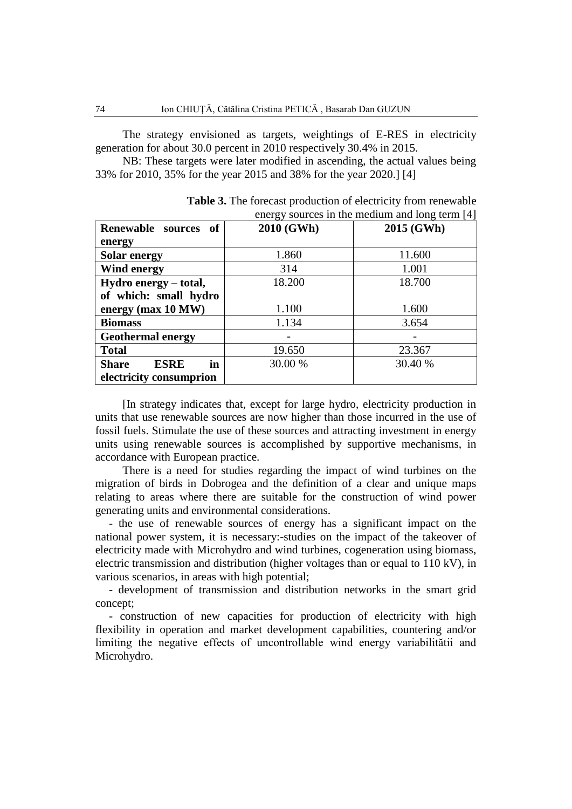The strategy envisioned as targets, weightings of E-RES in electricity generation for about 30.0 percent in 2010 respectively 30.4% in 2015.

NB: These targets were later modified in ascending, the actual values being 33% for 2010, 35% for the year 2015 and 38% for the year 2020.] [4]

|                                   | $\alpha$ chergy sources in the incurant and long term $ \tau $ |            |  |  |  |
|-----------------------------------|----------------------------------------------------------------|------------|--|--|--|
| Renewable sources of              | 2010 (GWh)                                                     | 2015 (GWh) |  |  |  |
| energy                            |                                                                |            |  |  |  |
| <b>Solar energy</b>               | 1.860                                                          | 11.600     |  |  |  |
| <b>Wind energy</b>                | 314                                                            | 1.001      |  |  |  |
| Hydro energy – total,             | 18.200                                                         | 18.700     |  |  |  |
| of which: small hydro             |                                                                |            |  |  |  |
| energy (max 10 MW)                | 1.100                                                          | 1.600      |  |  |  |
| <b>Biomass</b>                    | 1.134                                                          | 3.654      |  |  |  |
| <b>Geothermal energy</b>          |                                                                |            |  |  |  |
| <b>Total</b>                      | 19.650                                                         | 23.367     |  |  |  |
| <b>Share</b><br>in<br><b>ESRE</b> | 30.00 %                                                        | 30.40 %    |  |  |  |
| electricity consumprion           |                                                                |            |  |  |  |

**Table 3.** The forecast production of electricity from renewable energy sources in the medium and long term [4]

[In strategy indicates that, except for large hydro, electricity production in units that use renewable sources are now higher than those incurred in the use of fossil fuels. Stimulate the use of these sources and attracting investment in energy units using renewable sources is accomplished by supportive mechanisms, in accordance with European practice.

There is a need for studies regarding the impact of wind turbines on the migration of birds in Dobrogea and the definition of a clear and unique maps relating to areas where there are suitable for the construction of wind power generating units and environmental considerations.

- the use of renewable sources of energy has a significant impact on the national power system, it is necessary:-studies on the impact of the takeover of electricity made with Microhydro and wind turbines, cogeneration using biomass, electric transmission and distribution (higher voltages than or equal to 110 kV), in various scenarios, in areas with high potential;

- development of transmission and distribution networks in the smart grid concept;

- construction of new capacities for production of electricity with high flexibility in operation and market development capabilities, countering and/or limiting the negative effects of uncontrollable wind energy variabilitătii and Microhydro.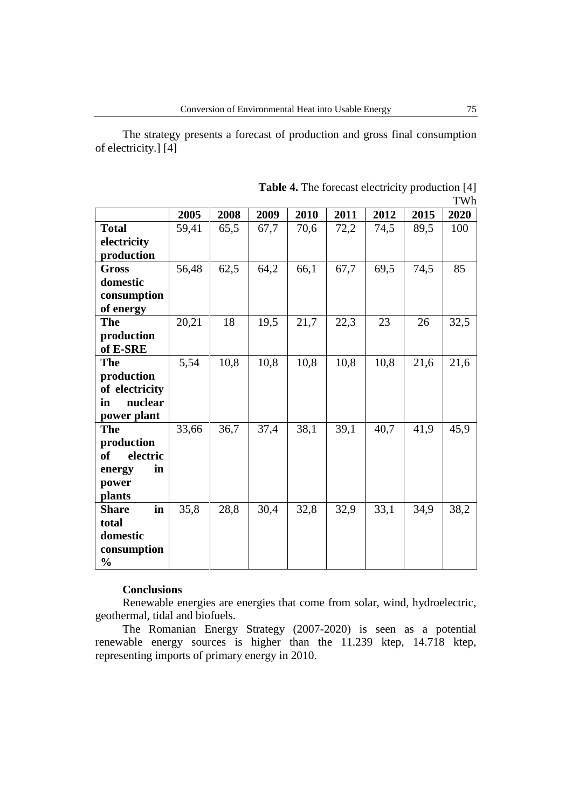The strategy presents a forecast of production and gross final consumption of electricity.] [4]

|                       |       |      |      |      |      |      |      | T AA TI |
|-----------------------|-------|------|------|------|------|------|------|---------|
|                       | 2005  | 2008 | 2009 | 2010 | 2011 | 2012 | 2015 | 2020    |
| <b>Total</b>          | 59,41 | 65,5 | 67,7 | 70,6 | 72,2 | 74,5 | 89,5 | 100     |
| electricity           |       |      |      |      |      |      |      |         |
| production            |       |      |      |      |      |      |      |         |
| <b>Gross</b>          | 56,48 | 62,5 | 64,2 | 66,1 | 67,7 | 69,5 | 74,5 | 85      |
| domestic              |       |      |      |      |      |      |      |         |
| consumption           |       |      |      |      |      |      |      |         |
| of energy             |       |      |      |      |      |      |      |         |
| <b>The</b>            | 20,21 | 18   | 19,5 | 21,7 | 22,3 | 23   | 26   | 32,5    |
| production            |       |      |      |      |      |      |      |         |
| of E-SRE              |       |      |      |      |      |      |      |         |
| <b>The</b>            | 5,54  | 10,8 | 10,8 | 10,8 | 10,8 | 10,8 | 21,6 | 21,6    |
| production            |       |      |      |      |      |      |      |         |
| of electricity        |       |      |      |      |      |      |      |         |
| nuclear<br>in         |       |      |      |      |      |      |      |         |
| power plant           |       |      |      |      |      |      |      |         |
| <b>The</b>            | 33,66 | 36,7 | 37,4 | 38,1 | 39,1 | 40,7 | 41,9 | 45,9    |
| production            |       |      |      |      |      |      |      |         |
| electric<br><b>of</b> |       |      |      |      |      |      |      |         |
| in<br>energy          |       |      |      |      |      |      |      |         |
| power                 |       |      |      |      |      |      |      |         |
| plants                |       |      |      |      |      |      |      |         |
| in<br><b>Share</b>    | 35,8  | 28,8 | 30,4 | 32,8 | 32,9 | 33,1 | 34,9 | 38,2    |
| total                 |       |      |      |      |      |      |      |         |
| domestic              |       |      |      |      |      |      |      |         |
| consumption           |       |      |      |      |      |      |      |         |
| $\frac{0}{0}$         |       |      |      |      |      |      |      |         |

**Table 4.** The forecast electricity production [4] TWh

### **Conclusions**

Renewable energies are energies that come from solar, wind, hydroelectric, geothermal, tidal and biofuels.

The Romanian Energy Strategy (2007-2020) is seen as a potential renewable energy sources is higher than the 11.239 ktep, 14.718 ktep, representing imports of primary energy in 2010.